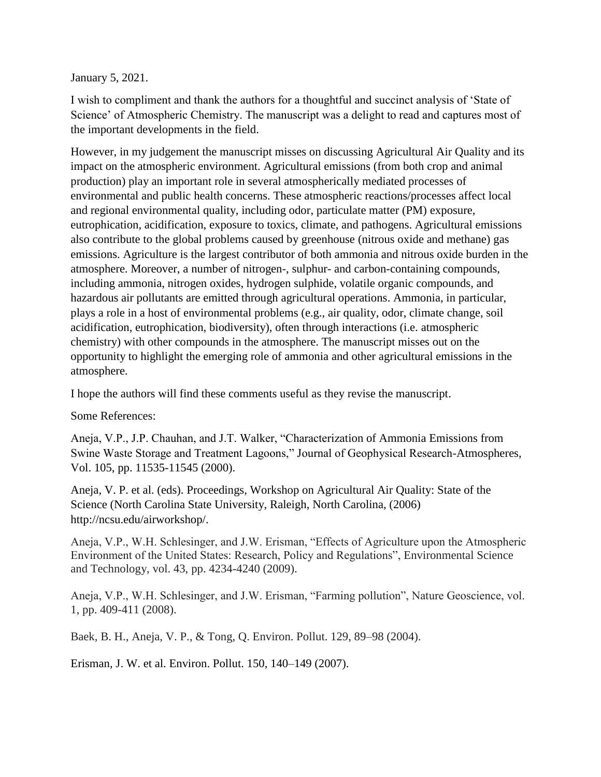January 5, 2021.

I wish to compliment and thank the authors for a thoughtful and succinct analysis of 'State of Science' of Atmospheric Chemistry. The manuscript was a delight to read and captures most of the important developments in the field.

However, in my judgement the manuscript misses on discussing Agricultural Air Quality and its impact on the atmospheric environment. Agricultural emissions (from both crop and animal production) play an important role in several atmospherically mediated processes of environmental and public health concerns. These atmospheric reactions/processes affect local and regional environmental quality, including odor, particulate matter (PM) exposure, eutrophication, acidification, exposure to toxics, climate, and pathogens. Agricultural emissions also contribute to the global problems caused by greenhouse (nitrous oxide and methane) gas emissions. Agriculture is the largest contributor of both ammonia and nitrous oxide burden in the atmosphere. Moreover, a number of nitrogen-, sulphur- and carbon-containing compounds, including ammonia, nitrogen oxides, hydrogen sulphide, volatile organic compounds, and hazardous air pollutants are emitted through agricultural operations. Ammonia, in particular, plays a role in a host of environmental problems (e.g., air quality, odor, climate change, soil acidification, eutrophication, biodiversity), often through interactions (i.e. atmospheric chemistry) with other compounds in the atmosphere. The manuscript misses out on the opportunity to highlight the emerging role of ammonia and other agricultural emissions in the atmosphere.

I hope the authors will find these comments useful as they revise the manuscript.

Some References:

Aneja, V.P., J.P. Chauhan, and J.T. Walker, "Characterization of Ammonia Emissions from Swine Waste Storage and Treatment Lagoons," Journal of Geophysical Research-Atmospheres, Vol. 105, pp. 11535-11545 (2000).

Aneja, V. P. et al. (eds). Proceedings, Workshop on Agricultural Air Quality: State of the Science (North Carolina State University, Raleigh, North Carolina, (2006) http://ncsu.edu/airworkshop/.

Aneja, V.P., W.H. Schlesinger, and J.W. Erisman, "Effects of Agriculture upon the Atmospheric Environment of the United States: Research, Policy and Regulations", Environmental Science and Technology, vol. 43, pp. 4234-4240 (2009).

Aneja, V.P., W.H. Schlesinger, and J.W. Erisman, "Farming pollution", Nature Geoscience, vol. 1, pp. 409-411 (2008).

Baek, B. H., Aneja, V. P., & Tong, Q. Environ. Pollut. 129, 89–98 (2004).

Erisman, J. W. et al. Environ. Pollut. 150, 140–149 (2007).